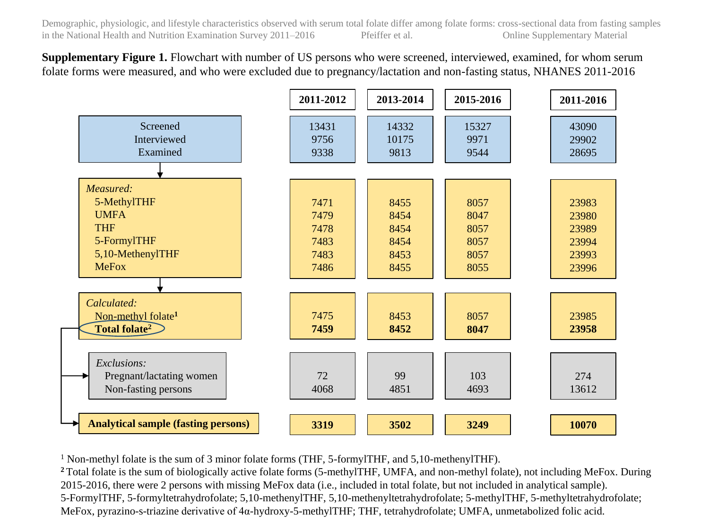**Supplementary Figure 1.** Flowchart with number of US persons who were screened, interviewed, examined, for whom serum folate forms were measured, and who were excluded due to pregnancy/lactation and non-fasting status, NHANES 2011-2016



<sup>1</sup> Non-methyl folate is the sum of 3 minor folate forms (THF, 5-formylTHF, and 5,10-methenylTHF).

Total folate is the sum of biologically active folate forms (5-methylTHF, UMFA, and non-methyl folate), not including MeFox. During 2015-2016, there were 2 persons with missing MeFox data (i.e., included in total folate, but not included in analytical sample). 5-FormylTHF, 5-formyltetrahydrofolate; 5,10-methenylTHF, 5,10-methenyltetrahydrofolate; 5-methylTHF, 5-methyltetrahydrofolate; MeFox, pyrazino-s-triazine derivative of 4α-hydroxy-5-methylTHF; THF, tetrahydrofolate; UMFA, unmetabolized folic acid.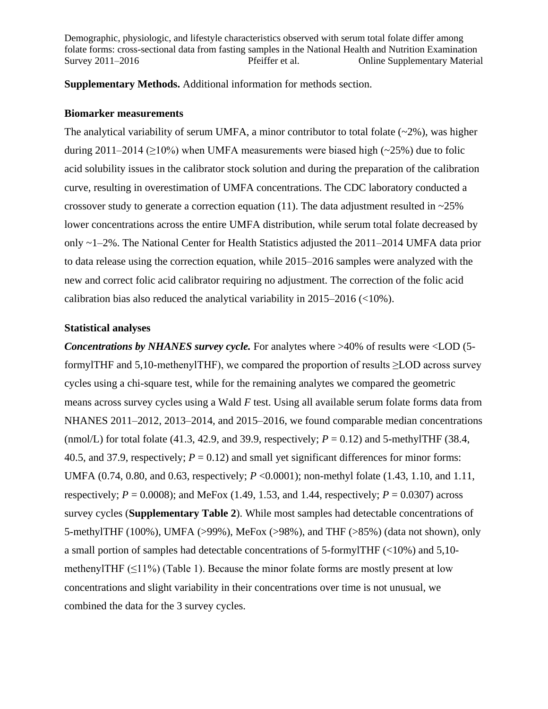**Supplementary Methods.** Additional information for methods section.

## **Biomarker measurements**

The analytical variability of serum UMFA, a minor contributor to total folate  $(\sim 2\%)$ , was higher during 2011–2014 ( $\geq$ 10%) when UMFA measurements were biased high ( $\sim$ 25%) due to folic acid solubility issues in the calibrator stock solution and during the preparation of the calibration curve, resulting in overestimation of UMFA concentrations. The CDC laboratory conducted a crossover study to generate a correction equation (11). The data adjustment resulted in  $\approx 25\%$ lower concentrations across the entire UMFA distribution, while serum total folate decreased by only ~1–2%. The National Center for Health Statistics adjusted the 2011–2014 UMFA data prior to data release using the correction equation, while 2015–2016 samples were analyzed with the new and correct folic acid calibrator requiring no adjustment. The correction of the folic acid calibration bias also reduced the analytical variability in 2015–2016 (<10%).

## **Statistical analyses**

*Concentrations by NHANES survey cycle.* For analytes where >40% of results were <LOD (5 formylTHF and 5,10-methenylTHF), we compared the proportion of results  $\geq$ LOD across survey cycles using a chi-square test, while for the remaining analytes we compared the geometric means across survey cycles using a Wald *F* test. Using all available serum folate forms data from NHANES 2011–2012, 2013–2014, and 2015–2016, we found comparable median concentrations (nmol/L) for total folate (41.3, 42.9, and 39.9, respectively;  $P = 0.12$ ) and 5-methylTHF (38.4, 40.5, and 37.9, respectively;  $P = 0.12$ ) and small yet significant differences for minor forms: UMFA (0.74, 0.80, and 0.63, respectively; *P* <0.0001); non-methyl folate (1.43, 1.10, and 1.11, respectively;  $P = 0.0008$ ); and MeFox (1.49, 1.53, and 1.44, respectively;  $P = 0.0307$ ) across survey cycles (**Supplementary Table 2**). While most samples had detectable concentrations of 5-methylTHF (100%), UMFA (>99%), MeFox (>98%), and THF (>85%) (data not shown), only a small portion of samples had detectable concentrations of 5-formylTHF (<10%) and 5,10 methenylTHF  $(\leq 11\%)$  (Table 1). Because the minor folate forms are mostly present at low concentrations and slight variability in their concentrations over time is not unusual, we combined the data for the 3 survey cycles.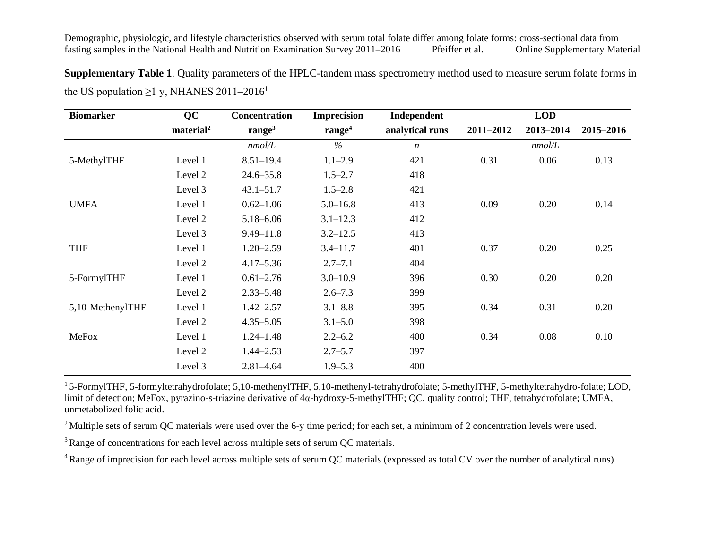**Supplementary Table 1**. Quality parameters of the HPLC-tandem mass spectrometry method used to measure serum folate forms in the US population  $\geq$ 1 y, NHANES 2011–2016<sup>1</sup>

| <b>Biomarker</b> | <b>QC</b>             | <b>Concentration</b> | <b>Imprecision</b> | Independent      |           | <b>LOD</b> |           |
|------------------|-----------------------|----------------------|--------------------|------------------|-----------|------------|-----------|
|                  | material <sup>2</sup> | range $3$            | range <sup>4</sup> | analytical runs  | 2011-2012 | 2013-2014  | 2015-2016 |
|                  |                       | nmol/L               | $\%$               | $\boldsymbol{n}$ |           | nmol/L     |           |
| 5-MethylTHF      | Level 1               | $8.51 - 19.4$        | $1.1 - 2.9$        | 421              | 0.31      | 0.06       | 0.13      |
|                  | Level 2               | $24.6 - 35.8$        | $1.5 - 2.7$        | 418              |           |            |           |
|                  | Level 3               | $43.1 - 51.7$        | $1.5 - 2.8$        | 421              |           |            |           |
| <b>UMFA</b>      | Level 1               | $0.62 - 1.06$        | $5.0 - 16.8$       | 413              | 0.09      | 0.20       | 0.14      |
|                  | Level 2               | $5.18 - 6.06$        | $3.1 - 12.3$       | 412              |           |            |           |
|                  | Level 3               | $9.49 - 11.8$        | $3.2 - 12.5$       | 413              |           |            |           |
| <b>THF</b>       | Level 1               | $1.20 - 2.59$        | $3.4 - 11.7$       | 401              | 0.37      | 0.20       | 0.25      |
|                  | Level 2               | $4.17 - 5.36$        | $2.7 - 7.1$        | 404              |           |            |           |
| 5-FormylTHF      | Level 1               | $0.61 - 2.76$        | $3.0 - 10.9$       | 396              | 0.30      | 0.20       | 0.20      |
|                  | Level 2               | $2.33 - 5.48$        | $2.6 - 7.3$        | 399              |           |            |           |
| 5,10-MethenylTHF | Level 1               | $1.42 - 2.57$        | $3.1 - 8.8$        | 395              | 0.34      | 0.31       | 0.20      |
|                  | Level 2               | $4.35 - 5.05$        | $3.1 - 5.0$        | 398              |           |            |           |
| MeFox            | Level 1               | $1.24 - 1.48$        | $2.2 - 6.2$        | 400              | 0.34      | 0.08       | 0.10      |
|                  | Level 2               | $1.44 - 2.53$        | $2.7 - 5.7$        | 397              |           |            |           |
|                  | Level 3               | $2.81 - 4.64$        | $1.9 - 5.3$        | 400              |           |            |           |

<sup>1</sup>5-FormylTHF, 5-formyltetrahydrofolate; 5,10-methenylTHF, 5,10-methenyl-tetrahydrofolate; 5-methylTHF, 5-methyltetrahydro-folate; LOD, limit of detection; MeFox, pyrazino-s-triazine derivative of 4α-hydroxy-5-methylTHF; QC, quality control; THF, tetrahydrofolate; UMFA, unmetabolized folic acid.

<sup>2</sup> Multiple sets of serum QC materials were used over the 6-y time period; for each set, a minimum of 2 concentration levels were used.

<sup>3</sup> Range of concentrations for each level across multiple sets of serum QC materials.

<sup>4</sup> Range of imprecision for each level across multiple sets of serum QC materials (expressed as total CV over the number of analytical runs)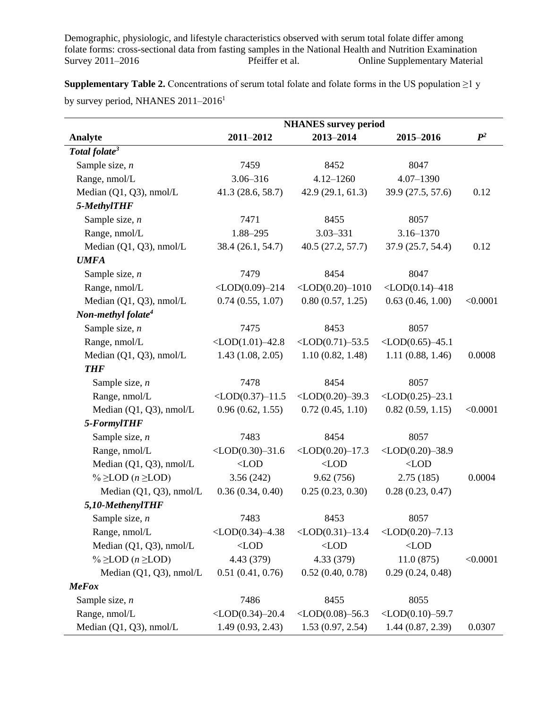**Supplementary Table 2.** Concentrations of serum total folate and folate forms in the US population  $\geq 1$  y by survey period, NHANES  $2011-2016^1$ 

|                                     |                              | <b>NHANES</b> survey period  |                                   |                |
|-------------------------------------|------------------------------|------------------------------|-----------------------------------|----------------|
| Analyte                             | 2011-2012                    | 2013-2014                    | 2015-2016                         | $\mathbb{P}^2$ |
| Total folate <sup>3</sup>           |                              |                              |                                   |                |
| Sample size, $n$                    | 7459                         | 8452                         | 8047                              |                |
| Range, nmol/L                       | $3.06 - 316$                 | $4.12 - 1260$                | $4.07 - 1390$                     |                |
| Median (Q1, Q3), nmol/L             | 41.3 (28.6, 58.7)            | 42.9(29.1, 61.3)             | 39.9 (27.5, 57.6)                 | 0.12           |
| 5-MethylTHF                         |                              |                              |                                   |                |
| Sample size, $n$                    | 7471                         | 8455                         | 8057                              |                |
| Range, nmol/L                       | 1.88-295                     | $3.03 - 331$                 | $3.16 - 1370$                     |                |
| Median (Q1, Q3), nmol/L             | 38.4 (26.1, 54.7)            | 40.5(27.2, 57.7)             | 37.9 (25.7, 54.4)                 | 0.12           |
| <b>UMFA</b>                         |                              |                              |                                   |                |
| Sample size, $n$                    | 7479                         | 8454                         | 8047                              |                |
| Range, nmol/L                       | $<$ LOD $(0.09)$ -214        | $\langle$ LOD $(0.20)$ -1010 | $\langle$ LOD $(0.14)$ -418       |                |
| Median (Q1, Q3), nmol/L             | 0.74(0.55, 1.07)             | 0.80(0.57, 1.25)             | 0.63(0.46, 1.00)                  | < 0.0001       |
| Non-methyl folate <sup>4</sup>      |                              |                              |                                   |                |
| Sample size, $n$                    | 7475                         | 8453                         | 8057                              |                |
| Range, nmol/L                       | $\langle$ LOD $(1.01)$ -42.8 | $<$ LOD $(0.71)$ -53.5       | $<$ LOD $(0.65)$ -45.1            |                |
| Median (Q1, Q3), nmol/L             | 1.43(1.08, 2.05)             | 1.10(0.82, 1.48)             | 1.11(0.88, 1.46)                  | 0.0008         |
| <b>THF</b>                          |                              |                              |                                   |                |
| Sample size, $n$                    | 7478                         | 8454                         | 8057                              |                |
| Range, nmol/L                       | $<$ LOD $(0.37)$ -11.5       | $<$ LOD $(0.20)$ -39.3       | $<$ LOD $(0.25)$ -23.1            |                |
| Median (Q1, Q3), nmol/L             | 0.96(0.62, 1.55)             | 0.72(0.45, 1.10)             | 0.82(0.59, 1.15)                  | < 0.0001       |
| 5-FormylTHF                         |                              |                              |                                   |                |
| Sample size, $n$                    | 7483                         | 8454                         | 8057                              |                |
| Range, nmol/L                       | $\langle LOD(0.30)-31.6$     | $<$ LOD $(0.20)$ -17.3       | $<$ LOD $(0.20)$ -38.9            |                |
| Median (Q1, Q3), nmol/L             | $\langle$ LOD                | $\langle$ LOD                | $\langle$ LOD                     |                |
| % $\geq$ LOD ( <i>n</i> $\geq$ LOD) | 3.56(242)                    | 9.62(756)                    | 2.75(185)                         | 0.0004         |
| Median (Q1, Q3), nmol/L             | 0.36(0.34, 0.40)             | 0.25(0.23, 0.30)             | 0.28(0.23, 0.47)                  |                |
| 5,10-MethenylTHF                    |                              |                              |                                   |                |
| Sample size, $n$                    | 7483                         | 8453                         | 8057                              |                |
| Range, nmol/L                       | $\langle$ LOD $(0.34)$ -4.38 | $<$ LOD $(0.31)$ -13.4       | $\langle LOD(0.20) -7.13 \rangle$ |                |
| Median (Q1, Q3), nmol/L             | $<$ LOD                      | $<$ LOD                      | $\langle$ LOD                     |                |
| % $\geq$ LOD ( <i>n</i> $\geq$ LOD) | 4.43 (379)                   | 4.33 (379)                   | 11.0(875)                         | < 0.0001       |
| Median $(Q1, Q3)$ , nmol/L          | 0.51(0.41, 0.76)             | 0.52(0.40, 0.78)             | 0.29(0.24, 0.48)                  |                |
| <b>MeFox</b>                        |                              |                              |                                   |                |
| Sample size, $n$                    | 7486                         | 8455                         | 8055                              |                |
| Range, nmol/L                       | $<$ LOD $(0.34)$ -20.4       | $<$ LOD $(0.08)$ -56.3       | $<$ LOD $(0.10)$ -59.7            |                |
| Median (Q1, Q3), nmol/L             | 1.49(0.93, 2.43)             | 1.53(0.97, 2.54)             | 1.44(0.87, 2.39)                  | 0.0307         |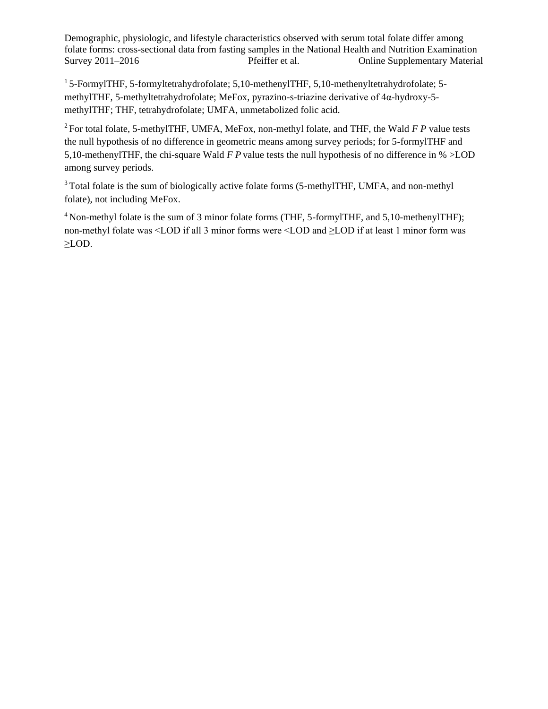<sup>1</sup>5-FormylTHF, 5-formyltetrahydrofolate; 5,10-methenylTHF, 5,10-methenyltetrahydrofolate; 5 methylTHF, 5-methyltetrahydrofolate; MeFox, pyrazino-s-triazine derivative of 4α-hydroxy-5 methylTHF; THF, tetrahydrofolate; UMFA, unmetabolized folic acid.

<sup>2</sup>For total folate, 5-methylTHF, UMFA, MeFox, non-methyl folate, and THF, the Wald *F P* value tests the null hypothesis of no difference in geometric means among survey periods; for 5-formylTHF and 5,10-methenylTHF, the chi-square Wald *F P* value tests the null hypothesis of no difference in % >LOD among survey periods.

<sup>3</sup>Total folate is the sum of biologically active folate forms (5-methylTHF, UMFA, and non-methyl folate), not including MeFox.

 $4$  Non-methyl folate is the sum of 3 minor folate forms (THF, 5-formylTHF, and 5,10-methenylTHF); non-methyl folate was <LOD if all 3 minor forms were <LOD and ≥LOD if at least 1 minor form was ≥LOD.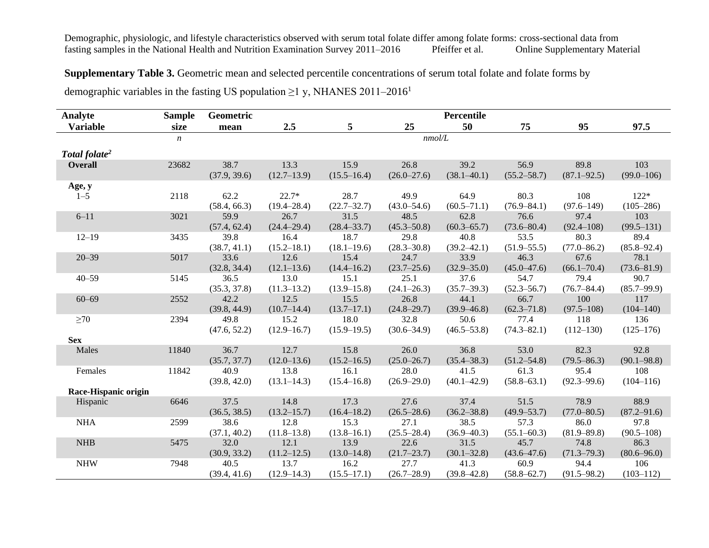## **Supplementary Table 3.** Geometric mean and selected percentile concentrations of serum total folate and folate forms by

demographic variables in the fasting US population  $\geq$ 1 y, NHANES 2011–2016<sup>1</sup>

| Analyte                   | <b>Sample</b>    | Geometric    |                 |                 |                 | Percentile      |                 |                 |                 |
|---------------------------|------------------|--------------|-----------------|-----------------|-----------------|-----------------|-----------------|-----------------|-----------------|
| <b>Variable</b>           | size             | mean         | 2.5             | 5               | 25              | 50              | 75              | 95              | 97.5            |
|                           | $\boldsymbol{n}$ |              |                 |                 | nmol/L          |                 |                 |                 |                 |
| Total folate <sup>2</sup> |                  |              |                 |                 |                 |                 |                 |                 |                 |
| <b>Overall</b>            | 23682            | 38.7         | 13.3            | 15.9            | 26.8            | 39.2            | 56.9            | 89.8            | 103             |
|                           |                  | (37.9, 39.6) | $(12.7-13.9)$   | $(15.5 - 16.4)$ | $(26.0 - 27.6)$ | $(38.1 - 40.1)$ | $(55.2 - 58.7)$ | $(87.1 - 92.5)$ | $(99.0 - 106)$  |
| Age, y                    |                  |              |                 |                 |                 |                 |                 |                 |                 |
| $1 - 5$                   | 2118             | 62.2         | $22.7*$         | 28.7            | 49.9            | 64.9            | 80.3            | 108             | $122*$          |
|                           |                  | (58.4, 66.3) | $(19.4 - 28.4)$ | $(22.7 - 32.7)$ | $(43.0 - 54.6)$ | $(60.5 - 71.1)$ | $(76.9 - 84.1)$ | $(97.6 - 149)$  | $(105 - 286)$   |
| $6 - 11$                  | 3021             | 59.9         | 26.7            | 31.5            | 48.5            | 62.8            | 76.6            | 97.4            | 103             |
|                           |                  | (57.4, 62.4) | $(24.4 - 29.4)$ | $(28.4 - 33.7)$ | $(45.3 - 50.8)$ | $(60.3 - 65.7)$ | $(73.6 - 80.4)$ | $(92.4 - 108)$  | $(99.5 - 131)$  |
| $12 - 19$                 | 3435             | 39.8         | 16.4            | 18.7            | 29.8            | 40.8            | 53.5            | 80.3            | 89.4            |
|                           |                  | (38.7, 41.1) | $(15.2 - 18.1)$ | $(18.1 - 19.6)$ | $(28.3 - 30.8)$ | $(39.2 - 42.1)$ | $(51.9 - 55.5)$ | $(77.0 - 86.2)$ | $(85.8 - 92.4)$ |
| $20 - 39$                 | 5017             | 33.6         | 12.6            | 15.4            | 24.7            | 33.9            | 46.3            | 67.6            | 78.1            |
|                           |                  | (32.8, 34.4) | $(12.1 - 13.6)$ | $(14.4 - 16.2)$ | $(23.7 - 25.6)$ | $(32.9 - 35.0)$ | $(45.0 - 47.6)$ | $(66.1 - 70.4)$ | $(73.6 - 81.9)$ |
| $40 - 59$                 | 5145             | 36.5         | 13.0            | 15.1            | 25.1            | 37.6            | 54.7            | 79.4            | 90.7            |
|                           |                  | (35.3, 37.8) | $(11.3 - 13.2)$ | $(13.9 - 15.8)$ | $(24.1 - 26.3)$ | $(35.7 - 39.3)$ | $(52.3 - 56.7)$ | $(76.7 - 84.4)$ | $(85.7 - 99.9)$ |
| $60 - 69$                 | 2552             | 42.2         | 12.5            | 15.5            | 26.8            | 44.1            | 66.7            | 100             | 117             |
|                           |                  | (39.8, 44.9) | (10.7–14.4)     | $(13.7 - 17.1)$ | $(24.8 - 29.7)$ | $(39.9 - 46.8)$ | $(62.3 - 71.8)$ | $(97.5 - 108)$  | $(104 - 140)$   |
| $\geq 70$                 | 2394             | 49.8         | 15.2            | 18.0            | 32.8            | 50.6            | 77.4            | 118             | 136             |
|                           |                  | (47.6, 52.2) | $(12.9 - 16.7)$ | $(15.9 - 19.5)$ | $(30.6 - 34.9)$ | $(46.5 - 53.8)$ | $(74.3 - 82.1)$ | $(112 - 130)$   | $(125 - 176)$   |
| <b>Sex</b>                |                  |              |                 |                 |                 |                 |                 |                 |                 |
| Males                     | 11840            | 36.7         | 12.7            | 15.8            | 26.0            | 36.8            | 53.0            | 82.3            | 92.8            |
|                           |                  | (35.7, 37.7) | $(12.0 - 13.6)$ | $(15.2 - 16.5)$ | $(25.0 - 26.7)$ | $(35.4 - 38.3)$ | $(51.2 - 54.8)$ | $(79.5 - 86.3)$ | $(90.1 - 98.8)$ |
| Females                   | 11842            | 40.9         | 13.8            | 16.1            | 28.0            | 41.5            | 61.3            | 95.4            | 108             |
|                           |                  | (39.8, 42.0) | $(13.1 - 14.3)$ | $(15.4 - 16.8)$ | $(26.9 - 29.0)$ | $(40.1 - 42.9)$ | $(58.8 - 63.1)$ | $(92.3 - 99.6)$ | $(104 - 116)$   |
| Race-Hispanic origin      |                  |              |                 |                 |                 |                 |                 |                 |                 |
| Hispanic                  | 6646             | 37.5         | 14.8            | 17.3            | 27.6            | 37.4            | 51.5            | 78.9            | 88.9            |
|                           |                  | (36.5, 38.5) | $(13.2 - 15.7)$ | $(16.4 - 18.2)$ | $(26.5 - 28.6)$ | $(36.2 - 38.8)$ | $(49.9 - 53.7)$ | $(77.0 - 80.5)$ | $(87.2 - 91.6)$ |
| <b>NHA</b>                | 2599             | 38.6         | 12.8            | 15.3            | 27.1            | 38.5            | 57.3            | 86.0            | 97.8            |
|                           |                  | (37.1, 40.2) | $(11.8 - 13.8)$ | $(13.8 - 16.1)$ | $(25.5 - 28.4)$ | $(36.9 - 40.3)$ | $(55.1 - 60.3)$ | $(81.9 - 89.8)$ | $(90.5 - 108)$  |
| <b>NHB</b>                | 5475             | 32.0         | 12.1            | 13.9            | 22.6            | 31.5            | 45.7            | 74.8            | 86.3            |
|                           |                  | (30.9, 33.2) | $(11.2 - 12.5)$ | $(13.0 - 14.8)$ | $(21.7 - 23.7)$ | $(30.1 - 32.8)$ | $(43.6 - 47.6)$ | $(71.3 - 79.3)$ | $(80.6 - 96.0)$ |
| <b>NHW</b>                | 7948             | 40.5         | 13.7            | 16.2            | 27.7            | 41.3            | 60.9            | 94.4            | 106             |
|                           |                  | (39.4, 41.6) | $(12.9 - 14.3)$ | $(15.5 - 17.1)$ | $(26.7 - 28.9)$ | $(39.8 - 42.8)$ | $(58.8 - 62.7)$ | $(91.5 - 98.2)$ | $(103 - 112)$   |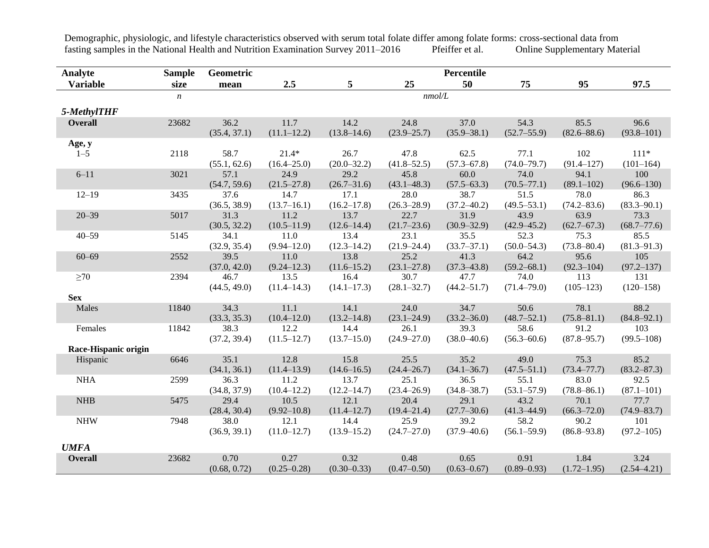Demographic, physiologic, and lifestyle characteristics observed with serum total folate differ among folate forms: cross-sectional data from<br>fasting samples in the National Health and Nutrition Examination Survey 2011–201 fasting samples in the National Health and Nutrition Examination Survey 2011–2016

| Analyte              | <b>Sample</b>    | Geometric            |                            |                         |                         | Percentile              |                         |                         |                         |
|----------------------|------------------|----------------------|----------------------------|-------------------------|-------------------------|-------------------------|-------------------------|-------------------------|-------------------------|
| <b>Variable</b>      | size             | mean                 | 2.5                        | 5                       | 25                      | 50                      | 75                      | 95                      | 97.5                    |
|                      | $\boldsymbol{n}$ |                      |                            |                         | nmol/L                  |                         |                         |                         |                         |
| 5-MethylTHF          |                  |                      |                            |                         |                         |                         |                         |                         |                         |
| <b>Overall</b>       | 23682            | 36.2<br>(35.4, 37.1) | 11.7<br>$(11.1 - 12.2)$    | 14.2<br>$(13.8 - 14.6)$ | 24.8<br>$(23.9 - 25.7)$ | 37.0<br>$(35.9 - 38.1)$ | 54.3<br>$(52.7 - 55.9)$ | 85.5<br>$(82.6 - 88.6)$ | 96.6<br>$(93.8 - 101)$  |
| Age, y               |                  |                      |                            |                         |                         |                         |                         |                         |                         |
| $1 - 5$              | 2118             | 58.7<br>(55.1, 62.6) | $21.4*$<br>$(16.4 - 25.0)$ | 26.7<br>$(20.0 - 32.2)$ | 47.8<br>$(41.8 - 52.5)$ | 62.5<br>$(57.3 - 67.8)$ | 77.1<br>$(74.0 - 79.7)$ | 102<br>$(91.4 - 127)$   | $111*$<br>$(101-164)$   |
| $6 - 11$             | 3021             | 57.1<br>(54.7, 59.6) | 24.9<br>$(21.5 - 27.8)$    | 29.2<br>$(26.7 - 31.6)$ | 45.8<br>$(43.1 - 48.3)$ | 60.0<br>$(57.5 - 63.3)$ | 74.0<br>$(70.5 - 77.1)$ | 94.1<br>$(89.1 - 102)$  | 100<br>$(96.6 - 130)$   |
| $12 - 19$            | 3435             | 37.6<br>(36.5, 38.9) | 14.7<br>$(13.7 - 16.1)$    | 17.1<br>$(16.2 - 17.8)$ | 28.0<br>$(26.3 - 28.9)$ | 38.7<br>$(37.2 - 40.2)$ | 51.5<br>$(49.5 - 53.1)$ | 78.0<br>$(74.2 - 83.6)$ | 86.3<br>$(83.3 - 90.1)$ |
| $20 - 39$            | 5017             | 31.3<br>(30.5, 32.2) | 11.2<br>$(10.5 - 11.9)$    | 13.7<br>$(12.6 - 14.4)$ | 22.7<br>$(21.7 - 23.6)$ | 31.9<br>$(30.9 - 32.9)$ | 43.9<br>$(42.9 - 45.2)$ | 63.9<br>$(62.7 - 67.3)$ | 73.3<br>$(68.7 - 77.6)$ |
| $40 - 59$            | 5145             | 34.1<br>(32.9, 35.4) | 11.0<br>$(9.94 - 12.0)$    | 13.4<br>$(12.3 - 14.2)$ | 23.1<br>$(21.9 - 24.4)$ | 35.5<br>$(33.7 - 37.1)$ | 52.3<br>$(50.0 - 54.3)$ | 75.3<br>$(73.8 - 80.4)$ | 85.5<br>$(81.3 - 91.3)$ |
| $60 - 69$            | 2552             | 39.5<br>(37.0, 42.0) | 11.0<br>$(9.24 - 12.3)$    | 13.8<br>$(11.6 - 15.2)$ | 25.2<br>$(23.1 - 27.8)$ | 41.3<br>$(37.3 - 43.8)$ | 64.2<br>$(59.2 - 68.1)$ | 95.6<br>$(92.3 - 104)$  | 105<br>$(97.2 - 137)$   |
| $\geq 70$            | 2394             | 46.7<br>(44.5, 49.0) | 13.5<br>$(11.4 - 14.3)$    | 16.4<br>$(14.1 - 17.3)$ | 30.7<br>$(28.1 - 32.7)$ | 47.7<br>$(44.2 - 51.7)$ | 74.0<br>$(71.4 - 79.0)$ | 113<br>$(105 - 123)$    | 131<br>$(120 - 158)$    |
| <b>Sex</b>           |                  |                      |                            |                         |                         |                         |                         |                         |                         |
| Males                | 11840            | 34.3<br>(33.3, 35.3) | 11.1<br>$(10.4 - 12.0)$    | 14.1<br>$(13.2 - 14.8)$ | 24.0<br>$(23.1 - 24.9)$ | 34.7<br>$(33.2 - 36.0)$ | 50.6<br>$(48.7 - 52.1)$ | 78.1<br>$(75.8 - 81.1)$ | 88.2<br>$(84.8 - 92.1)$ |
| Females              | 11842            | 38.3<br>(37.2, 39.4) | 12.2<br>$(11.5 - 12.7)$    | 14.4<br>$(13.7 - 15.0)$ | 26.1<br>$(24.9 - 27.0)$ | 39.3<br>$(38.0 - 40.6)$ | 58.6<br>$(56.3 - 60.6)$ | 91.2<br>$(87.8 - 95.7)$ | 103<br>$(99.5 - 108)$   |
| Race-Hispanic origin |                  |                      |                            |                         |                         |                         |                         |                         |                         |
| Hispanic             | 6646             | 35.1<br>(34.1, 36.1) | 12.8<br>$(11.4 - 13.9)$    | 15.8<br>$(14.6 - 16.5)$ | 25.5<br>$(24.4 - 26.7)$ | 35.2<br>$(34.1 - 36.7)$ | 49.0<br>$(47.5 - 51.1)$ | 75.3<br>$(73.4 - 77.7)$ | 85.2<br>$(83.2 - 87.3)$ |
| <b>NHA</b>           | 2599             | 36.3<br>(34.8, 37.9) | 11.2<br>$(10.4 - 12.2)$    | 13.7<br>$(12.2 - 14.7)$ | 25.1<br>$(23.4 - 26.9)$ | 36.5<br>$(34.8 - 38.7)$ | 55.1<br>$(53.1 - 57.9)$ | 83.0<br>$(78.8 - 86.1)$ | 92.5<br>$(87.1 - 101)$  |
| <b>NHB</b>           | 5475             | 29.4<br>(28.4, 30.4) | 10.5<br>$(9.92 - 10.8)$    | 12.1<br>$(11.4 - 12.7)$ | 20.4<br>$(19.4 - 21.4)$ | 29.1<br>$(27.7 - 30.6)$ | 43.2<br>$(41.3 - 44.9)$ | 70.1<br>$(66.3 - 72.0)$ | 77.7<br>$(74.9 - 83.7)$ |
| <b>NHW</b>           | 7948             | 38.0<br>(36.9, 39.1) | 12.1<br>$(11.0 - 12.7)$    | 14.4<br>$(13.9 - 15.2)$ | 25.9<br>$(24.7 - 27.0)$ | 39.2<br>$(37.9 - 40.6)$ | 58.2<br>$(56.1 - 59.9)$ | 90.2<br>$(86.8 - 93.8)$ | 101<br>$(97.2 - 105)$   |
| <b>UMFA</b>          |                  |                      |                            |                         |                         |                         |                         |                         |                         |
| <b>Overall</b>       | 23682            | 0.70<br>(0.68, 0.72) | 0.27<br>$(0.25 - 0.28)$    | 0.32<br>$(0.30 - 0.33)$ | 0.48<br>$(0.47 - 0.50)$ | 0.65<br>$(0.63 - 0.67)$ | 0.91<br>$(0.89 - 0.93)$ | 1.84<br>$(1.72 - 1.95)$ | 3.24<br>$(2.54 - 4.21)$ |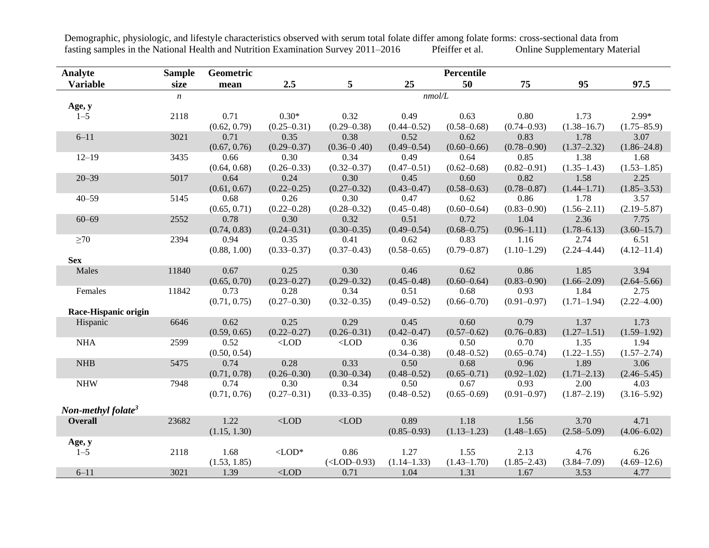**Analyte Sample Geometric Percentile Variable size mean 2.5 5 25 50 75 95 97.5** *n nmol/L* **Age, y** 1–5 2118 0.71 (0.62, 0.79) 0.30\*  $(0.25 - 0.31)$ 0.32  $(0.29 - 0.38)$ 0.49  $(0.44 - 0.52)$ 0.63  $(0.58 - 0.68)$ 0.80  $(0.74 - 0.93)$ 1.73  $(1.38-16.7)$ 2.99\*  $(1.75-85.9)$ 6–11 3021 0.71 (0.67, 0.76) 0.35  $(0.29 - 0.37)$ 0.38  $(0.36 - 0.40)$ 0.52  $(0.49 - 0.54)$ 0.62  $(0.60 - 0.66)$ 0.83  $(0.78 - 0.90)$ 1.78  $(1.37 - 2.32)$ 3.07  $(1.86 - 24.8)$ 12–19 3435 0.66 (0.64, 0.68) 0.30  $(0.26 - 0.33)$ 0.34  $(0.32 - 0.37)$ 0.49  $(0.47 - 0.51)$ 0.64  $(0.62 - 0.68)$ 0.85  $(0.82 - 0.91)$ 1.38  $(1.35-1.43)$ 1.68  $(1.53-1.85)$ 20–39 5017 0.64  $(0.61, 0.67)$ 0.24  $(0.22 - 0.25)$ 0.30  $(0.27 - 0.32)$ 0.45  $(0.43 - 0.47)$ 0.60  $(0.58 - 0.63)$ 0.82  $(0.78 - 0.87)$ 1.58  $(1.44 - 1.71)$ 2.25  $(1.85 - 3.53)$ 40–59 5145 0.68 (0.65, 0.71) 0.26  $(0.22 - 0.28)$ 0.30  $(0.28 - 0.32)$ 0.47  $(0.45 - 0.48)$ 0.62  $(0.60 - 0.64)$ 0.86  $(0.83 - 0.90)$ 1.78  $(1.56 - 2.11)$ 3.57 (2.19–5.87) 60–69 2552 0.78 (0.74, 0.83) 0.30  $(0.24 - 0.31)$ 0.32  $(0.30 - 0.35)$ 0.51  $(0.49 - 0.54)$ 0.72  $(0.68 - 0.75)$ 1.04  $(0.96 - 1.11)$ 2.36  $(1.78-6.13)$ 7.75  $(3.60 - 15.7)$  $\geq 70$  2394 0.94 (0.88, 1.00) 0.35  $(0.33 - 0.37)$ 0.41  $(0.37 - 0.43)$ 0.62  $(0.58 - 0.65)$ 0.83  $(0.79 - 0.87)$ 1.16  $(1.10-1.29)$ 2.74  $(2.24 - 4.44)$ 6.51  $(4.12 - 11.4)$ **Sex** Males 11840 0.67 (0.65, 0.70) 0.25  $(0.23 - 0.27)$ 0.30  $(0.29 - 0.32)$ 0.46  $(0.45 - 0.48)$ 0.62  $(0.60 - 0.64)$ 0.86  $(0.83 - 0.90)$ 1.85  $(1.66 - 2.09)$ 3.94  $(2.64 - 5.66)$ Females 11842 0.73 (0.71, 0.75) 0.28  $(0.27 - 0.30)$ 0.34  $(0.32 - 0.35)$ 0.51  $(0.49 - 0.52)$ 0.68  $(0.66 - 0.70)$ 0.93  $(0.91 - 0.97)$ 1.84  $(1.71-1.94)$ 2.75  $(2.22 - 4.00)$ **Race-Hispanic origin** Hispanic 6646 0.62 (0.59, 0.65) 0.25  $(0.22 - 0.27)$ 0.29  $(0.26 - 0.31)$ 0.45  $(0.42 - 0.47)$ 0.60  $(0.57-0.62)$ 0.79  $(0.76 - 0.83)$ 1.37  $(1.27-1.51)$ 1.73  $(1.59-1.92)$ NHA 2599 0.52 (0.50, 0.54)  $\langle$ LOD  $\langle$ LOD 0.36  $(0.34 - 0.38)$ 0.50  $(0.48 - 0.52)$ 0.70  $(0.65 - 0.74)$ 1.35  $(1.22 - 1.55)$ 1.94  $(1.57-2.74)$ NHB 5475 0.74 (0.71, 0.78) 0.28  $(0.26 - 0.30)$ 0.33  $(0.30 - 0.34)$ 0.50  $(0.48 - 0.52)$ 0.68  $(0.65 - 0.71)$ 0.96  $(0.92 - 1.02)$ 1.89  $(1.71-2.13)$ 3.06  $(2.46 - 5.45)$ NHW 7948 0.74 (0.71, 0.76) 0.30  $(0.27 - 0.31)$ 0.34  $(0.33 - 0.35)$ 0.50  $(0.48 - 0.52)$ 0.67  $(0.65 - 0.69)$ 0.93  $(0.91 - 0.97)$ 2.00  $(1.87 - 2.19)$ 4.03  $(3.16 - 5.92)$ *Non-methyl folate<sup>3</sup>* **Overall** 23682 1.22 (1.15, 1.30)  $\langle$ LOD  $\langle$ LOD 0.89  $(0.85 - 0.93)$ 1.18  $(1.13-1.23)$ 1.56  $(1.48 - 1.65)$ 3.70  $(2.58 - 5.09)$ 4.71  $(4.06 - 6.02)$ **Age, y** 1–5 2118 1.68 (1.53, 1.85)  $\langle$ LOD\* 0.86 (<LOD–0.93) 1.27  $(1.14-1.33)$ 1.55  $(1.43 - 1.70)$ 2.13  $(1.85 - 2.43)$ 4.76 (3.84–7.09) 6.26  $(4.69 - 12.6)$ 6–11 3021 1.39 <LOD 0.71 1.04 1.31 1.67 3.53 4.77

Demographic, physiologic, and lifestyle characteristics observed with serum total folate differ among folate forms: cross-sectional data from fasting samples in the National Health and Nutrition Examination Survey 2011–2016 Pfeiffer et al. Online Supplementary Material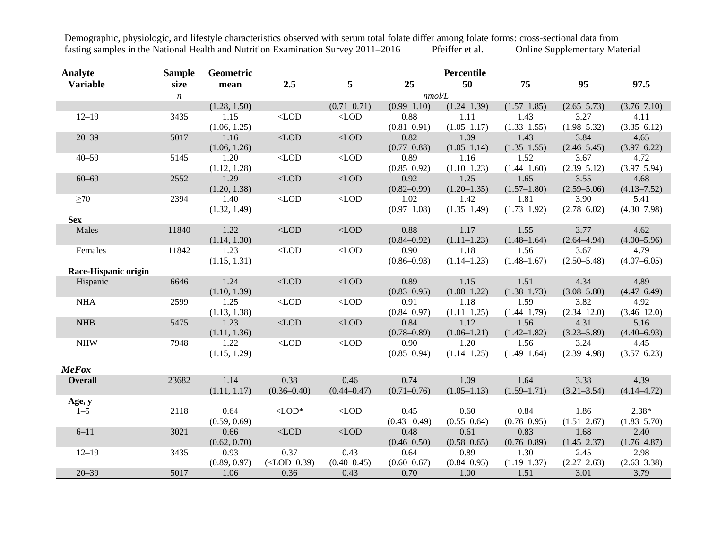| Analyte              | <b>Sample</b>    | Geometric    |                 |                  |                 | Percentile      |                 |                 |                 |
|----------------------|------------------|--------------|-----------------|------------------|-----------------|-----------------|-----------------|-----------------|-----------------|
| <b>Variable</b>      | size             | mean         | 2.5             | 5                | 25              | 50              | 75              | 95              | 97.5            |
|                      | $\boldsymbol{n}$ |              | nmol/L          |                  |                 |                 |                 |                 |                 |
|                      |                  | (1.28, 1.50) |                 | $(0.71 - 0.71)$  | $(0.99 - 1.10)$ | $(1.24 - 1.39)$ | $(1.57-1.85)$   | $(2.65 - 5.73)$ | $(3.76 - 7.10)$ |
| $12 - 19$            | 3435             | 1.15         | $<$ LOD         | $<$ LOD          | 0.88            | 1.11            | 1.43            | 3.27            | 4.11            |
|                      |                  | (1.06, 1.25) |                 |                  | $(0.81 - 0.91)$ | $(1.05 - 1.17)$ | $(1.33 - 1.55)$ | $(1.98 - 5.32)$ | $(3.35 - 6.12)$ |
| $20 - 39$            | 5017             | 1.16         | $<$ LOD         | $<$ LOD          | 0.82            | 1.09            | 1.43            | 3.84            | 4.65            |
|                      |                  | (1.06, 1.26) |                 |                  | $(0.77 - 0.88)$ | $(1.05-1.14)$   | $(1.35 - 1.55)$ | $(2.46 - 5.45)$ | $(3.97 - 6.22)$ |
| $40 - 59$            | 5145             | 1.20         | $<$ LOD         | $<$ LOD          | 0.89            | 1.16            | 1.52            | 3.67            | 4.72            |
|                      |                  | (1.12, 1.28) |                 |                  | $(0.85 - 0.92)$ | $(1.10-1.23)$   | $(1.44 - 1.60)$ | $(2.39 - 5.12)$ | $(3.97 - 5.94)$ |
| $60 - 69$            | 2552             | 1.29         | $<$ LOD         | $<$ LOD          | 0.92            | 1.25            | 1.65            | 3.55            | 4.68            |
|                      |                  | (1.20, 1.38) |                 |                  | $(0.82 - 0.99)$ | $(1.20 - 1.35)$ | $(1.57 - 1.80)$ | $(2.59 - 5.06)$ | $(4.13 - 7.52)$ |
| $\geq 70$            | 2394             | 1.40         | $<$ LOD         | $<$ LOD          | 1.02            | 1.42            | 1.81            | 3.90            | 5.41            |
|                      |                  | (1.32, 1.49) |                 |                  | $(0.97-1.08)$   | $(1.35-1.49)$   | $(1.73 - 1.92)$ | $(2.78 - 6.02)$ | $(4.30 - 7.98)$ |
| <b>Sex</b>           |                  |              |                 |                  |                 |                 |                 |                 |                 |
| Males                | 11840            | 1.22         | $<$ LOD         | $<$ LOD          | 0.88            | 1.17            | 1.55            | 3.77            | 4.62            |
|                      |                  | (1.14, 1.30) |                 |                  | $(0.84 - 0.92)$ | $(1.11-1.23)$   | $(1.48 - 1.64)$ | $(2.64 - 4.94)$ | $(4.00 - 5.96)$ |
| Females              | 11842            | 1.23         | $<$ LOD         | $<$ LOD          | 0.90            | 1.18            | 1.56            | 3.67            | 4.79            |
|                      |                  | (1.15, 1.31) |                 |                  | $(0.86 - 0.93)$ | $(1.14 - 1.23)$ | $(1.48 - 1.67)$ | $(2.50 - 5.48)$ | $(4.07 - 6.05)$ |
| Race-Hispanic origin |                  |              |                 |                  |                 |                 |                 |                 |                 |
| Hispanic             | 6646             | 1.24         | $<$ LOD         | $<\!\!{\rm LOD}$ | 0.89            | 1.15            | 1.51            | 4.34            | 4.89            |
|                      |                  | (1.10, 1.39) |                 |                  | $(0.83 - 0.95)$ | $(1.08 - 1.22)$ | $(1.38 - 1.73)$ | $(3.08 - 5.80)$ | $(4.47 - 6.49)$ |
| <b>NHA</b>           | 2599             | 1.25         | $<$ LOD         | $<$ LOD          | 0.91            | 1.18            | 1.59            | 3.82            | 4.92            |
|                      |                  | (1.13, 1.38) |                 |                  | $(0.84 - 0.97)$ | $(1.11-1.25)$   | $(1.44 - 1.79)$ | $(2.34 - 12.0)$ | $(3.46 - 12.0)$ |
| <b>NHB</b>           | 5475             | 1.23         | $<$ LOD         | $<$ LOD          | 0.84            | 1.12            | 1.56            | 4.31            | 5.16            |
|                      |                  | (1.11, 1.36) |                 |                  | $(0.78 - 0.89)$ | $(1.06 - 1.21)$ | $(1.42 - 1.82)$ | $(3.23 - 5.89)$ | $(4.40 - 6.93)$ |
| <b>NHW</b>           | 7948             | 1.22         | $<$ LOD         | $<$ LOD          | 0.90            | 1.20            | 1.56            | 3.24            | 4.45            |
|                      |                  | (1.15, 1.29) |                 |                  | $(0.85 - 0.94)$ | $(1.14 - 1.25)$ | $(1.49-1.64)$   | $(2.39 - 4.98)$ | $(3.57 - 6.23)$ |
| <b>MeFox</b>         |                  |              |                 |                  |                 |                 |                 |                 |                 |
| <b>Overall</b>       | 23682            | 1.14         | 0.38            | 0.46             | 0.74            | 1.09            | 1.64            | 3.38            | 4.39            |
|                      |                  | (1.11, 1.17) | $(0.36 - 0.40)$ | $(0.44 - 0.47)$  | $(0.71 - 0.76)$ | $(1.05-1.13)$   | $(1.59 - 1.71)$ | $(3.21 - 3.54)$ | $(4.14 - 4.72)$ |
| Age, y               |                  |              |                 |                  |                 |                 |                 |                 |                 |
| $1 - 5$              | 2118             | 0.64         | $<$ LOD*        | $\langle$ LOD    | 0.45            | 0.60            | 0.84            | 1.86            | $2.38*$         |
|                      |                  | (0.59, 0.69) |                 |                  | $(0.43 - 0.49)$ | $(0.55 - 0.64)$ | $(0.76 - 0.95)$ | $(1.51 - 2.67)$ | $(1.83 - 5.70)$ |
| $6 - 11$             | 3021             | 0.66         | $<$ LOD         | $\langle$ LOD    | 0.48            | 0.61            | 0.83            | 1.68            | 2.40            |
|                      |                  | (0.62, 0.70) |                 |                  | $(0.46 - 0.50)$ | $(0.58 - 0.65)$ | $(0.76 - 0.89)$ | $(1.45 - 2.37)$ | $(1.76 - 4.87)$ |
| $12 - 19$            | 3435             | 0.93         | 0.37            | 0.43             | 0.64            | 0.89            | 1.30            | 2.45            | 2.98            |
|                      |                  | (0.89, 0.97) | $(<$ LOD-0.39)  | $(0.40 - 0.45)$  | $(0.60 - 0.67)$ | $(0.84 - 0.95)$ | $(1.19 - 1.37)$ | $(2.27-2.63)$   | $(2.63 - 3.38)$ |
| $20 - 39$            | 5017             | 1.06         | 0.36            | 0.43             | 0.70            | 1.00            | 1.51            | 3.01            | 3.79            |

Demographic, physiologic, and lifestyle characteristics observed with serum total folate differ among folate forms: cross-sectional data from<br>fasting samples in the National Health and Nutrition Examination Survey 2011–201 fasting samples in the National Health and Nutrition Examination Survey 2011–2016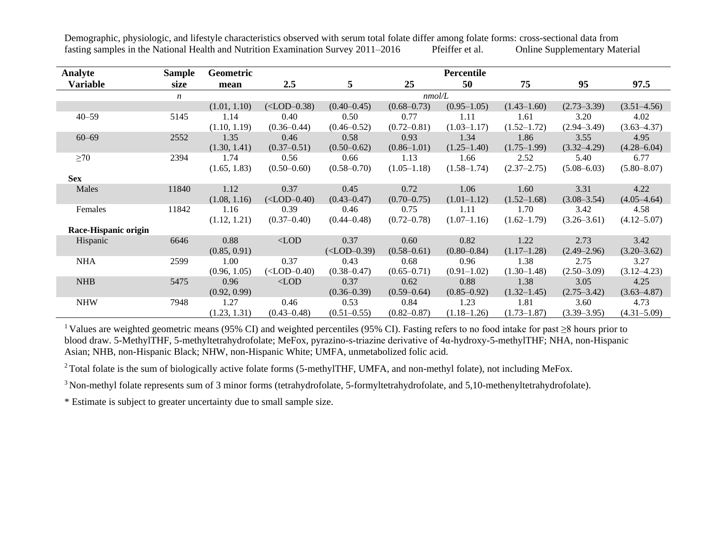| Analyte              | Sample           | Geometric    |                   |                 |                 | Percentile      |                 |                 |                 |
|----------------------|------------------|--------------|-------------------|-----------------|-----------------|-----------------|-----------------|-----------------|-----------------|
| <b>Variable</b>      | size             | mean         | 2.5               | 5               | 25              | 50              | 75              | 95              | 97.5            |
|                      | $\boldsymbol{n}$ |              |                   | nmol/L          |                 |                 |                 |                 |                 |
|                      |                  | (1.01, 1.10) | $(<$ LOD-0.38)    | $(0.40 - 0.45)$ | $(0.68 - 0.73)$ | $(0.95-1.05)$   | $(1.43 - 1.60)$ | $(2.73 - 3.39)$ | $(3.51 - 4.56)$ |
| $40 - 59$            | 5145             | 1.14         | 0.40              | 0.50            | 0.77            | 1.11            | 1.61            | 3.20            | 4.02            |
|                      |                  | (1.10, 1.19) | $(0.36 - 0.44)$   | $(0.46 - 0.52)$ | $(0.72 - 0.81)$ | $(1.03 - 1.17)$ | $(1.52 - 1.72)$ | $(2.94 - 3.49)$ | $(3.63 - 4.37)$ |
| $60 - 69$            | 2552             | 1.35         | 0.46              | 0.58            | 0.93            | 1.34            | 1.86            | 3.55            | 4.95            |
|                      |                  | (1.30, 1.41) | $(0.37 - 0.51)$   | $(0.50 - 0.62)$ | $(0.86 - 1.01)$ | $(1.25 - 1.40)$ | $(1.75-1.99)$   | $(3.32 - 4.29)$ | $(4.28 - 6.04)$ |
| $\geq 70$            | 2394             | 1.74         | 0.56              | 0.66            | 1.13            | 1.66            | 2.52            | 5.40            | 6.77            |
|                      |                  | (1.65, 1.83) | $(0.50 - 0.60)$   | $(0.58 - 0.70)$ | $(1.05-1.18)$   | $(1.58 - 1.74)$ | $(2.37 - 2.75)$ | $(5.08 - 6.03)$ | $(5.80 - 8.07)$ |
| <b>Sex</b>           |                  |              |                   |                 |                 |                 |                 |                 |                 |
| Males                | 11840            | 1.12         | 0.37              | 0.45            | 0.72            | 1.06            | 1.60            | 3.31            | 4.22            |
|                      |                  | (1.08, 1.16) | $(<$ LOD $-0.40)$ | $(0.43 - 0.47)$ | $(0.70 - 0.75)$ | $(1.01-1.12)$   | $(1.52 - 1.68)$ | $(3.08 - 3.54)$ | $(4.05 - 4.64)$ |
| Females              | 11842            | 1.16         | 0.39              | 0.46            | 0.75            | 1.11            | 1.70            | 3.42            | 4.58            |
|                      |                  | (1.12, 1.21) | $(0.37 - 0.40)$   | $(0.44 - 0.48)$ | $(0.72 - 0.78)$ | $(1.07-1.16)$   | $(1.62 - 1.79)$ | $(3.26 - 3.61)$ | $(4.12 - 5.07)$ |
| Race-Hispanic origin |                  |              |                   |                 |                 |                 |                 |                 |                 |
| Hispanic             | 6646             | 0.88         | $<$ LOD           | 0.37            | 0.60            | 0.82            | 1.22            | 2.73            | 3.42            |
|                      |                  | (0.85, 0.91) |                   | $(<$ LOD-0.39)  | $(0.58 - 0.61)$ | $(0.80 - 0.84)$ | $(1.17 - 1.28)$ | $(2.49 - 2.96)$ | $(3.20 - 3.62)$ |
| <b>NHA</b>           | 2599             | 1.00         | 0.37              | 0.43            | 0.68            | 0.96            | 1.38            | 2.75            | 3.27            |
|                      |                  | (0.96, 1.05) | $(<$ LOD $-0.40)$ | $(0.38 - 0.47)$ | $(0.65 - 0.71)$ | $(0.91 - 1.02)$ | $(1.30-1.48)$   | $(2.50 - 3.09)$ | $(3.12 - 4.23)$ |
| <b>NHB</b>           | 5475             | 0.96         | $\langle$ LOD     | 0.37            | 0.62            | 0.88            | 1.38            | 3.05            | 4.25            |
|                      |                  | (0.92, 0.99) |                   | $(0.36 - 0.39)$ | $(0.59 - 0.64)$ | $(0.85 - 0.92)$ | $(1.32 - 1.45)$ | $(2.75 - 3.42)$ | $(3.63 - 4.87)$ |
| <b>NHW</b>           | 7948             | 1.27         | 0.46              | 0.53            | 0.84            | 1.23            | 1.81            | 3.60            | 4.73            |
|                      |                  | (1.23, 1.31) | $(0.43 - 0.48)$   | $(0.51 - 0.55)$ | $(0.82 - 0.87)$ | $(1.18 - 1.26)$ | $(1.73 - 1.87)$ | $(3.39 - 3.95)$ | $(4.31 - 5.09)$ |

<sup>1</sup> Values are weighted geometric means (95% CI) and weighted percentiles (95% CI). Fasting refers to no food intake for past ≥8 hours prior to blood draw. 5-MethylTHF, 5-methyltetrahydrofolate; MeFox, pyrazino-s-triazine derivative of 4α-hydroxy-5-methylTHF; NHA, non-Hispanic Asian; NHB, non-Hispanic Black; NHW, non-Hispanic White; UMFA, unmetabolized folic acid.

<sup>2</sup> Total folate is the sum of biologically active folate forms (5-methylTHF, UMFA, and non-methyl folate), not including MeFox.

<sup>3</sup> Non-methyl folate represents sum of 3 minor forms (tetrahydrofolate, 5-formyltetrahydrofolate, and 5,10-methenyltetrahydrofolate).

\* Estimate is subject to greater uncertainty due to small sample size.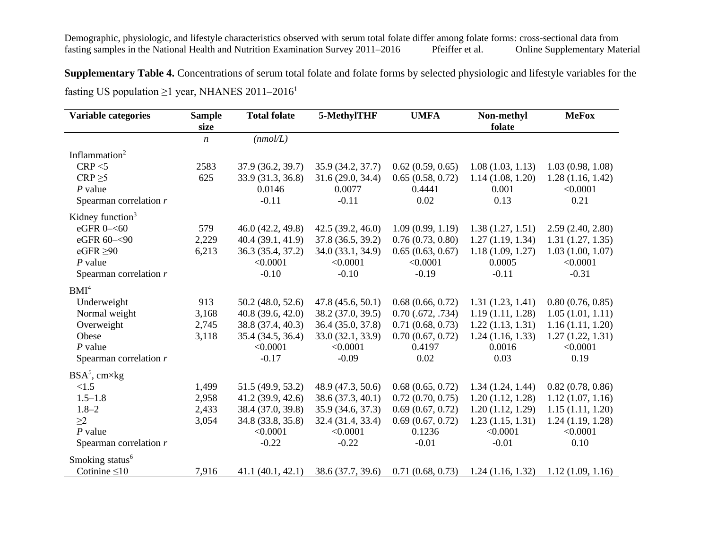Demographic, physiologic, and lifestyle characteristics observed with serum total folate differ among folate forms: cross-sectional data from fasting samples in the National Health and Nutrition Examination Survey 2011–201 fasting samples in the National Health and Nutrition Examination Survey 2011–2016 Pfeiffer et al. Online Supplementary Material

**Supplementary Table 4.** Concentrations of serum total folate and folate forms by selected physiologic and lifestyle variables for the fasting US population  $\geq$ 1 year, NHANES 2011–2016<sup>1</sup>

| Variable categories         | <b>Sample</b><br>size | <b>Total folate</b> | 5-MethylTHF       | <b>UMFA</b>           | Non-methyl<br>folate | <b>MeFox</b>     |
|-----------------------------|-----------------------|---------------------|-------------------|-----------------------|----------------------|------------------|
|                             | $\boldsymbol{n}$      | (mmol/L)            |                   |                       |                      |                  |
| Inflammation <sup>2</sup>   |                       |                     |                   |                       |                      |                  |
| CRP < 5                     | 2583                  | 37.9 (36.2, 39.7)   | 35.9 (34.2, 37.7) | 0.62(0.59, 0.65)      | 1.08(1.03, 1.13)     | 1.03(0.98, 1.08) |
| $CRP \geq 5$                | 625                   | 33.9 (31.3, 36.8)   | 31.6(29.0, 34.4)  | 0.65(0.58, 0.72)      | 1.14(1.08, 1.20)     | 1.28(1.16, 1.42) |
| $P$ value                   |                       | 0.0146              | 0.0077            | 0.4441                | 0.001                | < 0.0001         |
| Spearman correlation $r$    |                       | $-0.11$             | $-0.11$           | 0.02                  | 0.13                 | 0.21             |
| Kidney function $3$         |                       |                     |                   |                       |                      |                  |
| eGFR 0-<60                  | 579                   | 46.0 (42.2, 49.8)   | 42.5(39.2, 46.0)  | 1.09(0.99, 1.19)      | 1.38(1.27, 1.51)     | 2.59(2.40, 2.80) |
| eGFR 60-<90                 | 2,229                 | 40.4 (39.1, 41.9)   | 37.8 (36.5, 39.2) | 0.76(0.73, 0.80)      | 1.27(1.19, 1.34)     | 1.31(1.27, 1.35) |
| eGFR $\geq 90$              | 6,213                 | 36.3 (35.4, 37.2)   | 34.0 (33.1, 34.9) | 0.65(0.63, 0.67)      | 1.18(1.09, 1.27)     | 1.03(1.00, 1.07) |
| $P$ value                   |                       | < 0.0001            | < 0.0001          | < 0.0001              | 0.0005               | < 0.0001         |
| Spearman correlation $r$    |                       | $-0.10$             | $-0.10$           | $-0.19$               | $-0.11$              | $-0.31$          |
| BMI <sup>4</sup>            |                       |                     |                   |                       |                      |                  |
| Underweight                 | 913                   | 50.2 (48.0, 52.6)   | 47.8(45.6, 50.1)  | 0.68(0.66, 0.72)      | 1.31(1.23, 1.41)     | 0.80(0.76, 0.85) |
| Normal weight               | 3,168                 | 40.8(39.6, 42.0)    | 38.2 (37.0, 39.5) | $0.70$ $(.672, .734)$ | 1.19(1.11, 1.28)     | 1.05(1.01, 1.11) |
| Overweight                  | 2,745                 | 38.8 (37.4, 40.3)   | 36.4 (35.0, 37.8) | 0.71(0.68, 0.73)      | 1.22(1.13, 1.31)     | 1.16(1.11, 1.20) |
| Obese                       | 3,118                 | 35.4 (34.5, 36.4)   | 33.0 (32.1, 33.9) | 0.70(0.67, 0.72)      | 1.24(1.16, 1.33)     | 1.27(1.22, 1.31) |
| $P$ value                   |                       | < 0.0001            | < 0.0001          | 0.4197                | 0.0016               | < 0.0001         |
| Spearman correlation $r$    |                       | $-0.17$             | $-0.09$           | 0.02                  | 0.03                 | 0.19             |
| $BSA5$ , cm×kg              |                       |                     |                   |                       |                      |                  |
| < 1.5                       | 1,499                 | 51.5 (49.9, 53.2)   | 48.9 (47.3, 50.6) | 0.68(0.65, 0.72)      | 1.34(1.24, 1.44)     | 0.82(0.78, 0.86) |
| $1.5 - 1.8$                 | 2,958                 | 41.2 (39.9, 42.6)   | 38.6 (37.3, 40.1) | 0.72(0.70, 0.75)      | 1.20(1.12, 1.28)     | 1.12(1.07, 1.16) |
| $1.8 - 2$                   | 2,433                 | 38.4 (37.0, 39.8)   | 35.9 (34.6, 37.3) | 0.69(0.67, 0.72)      | 1.20(1.12, 1.29)     | 1.15(1.11, 1.20) |
| $\geq$ 2                    | 3,054                 | 34.8 (33.8, 35.8)   | 32.4 (31.4, 33.4) | 0.69(0.67, 0.72)      | 1.23(1.15, 1.31)     | 1.24(1.19, 1.28) |
| $P$ value                   |                       | < 0.0001            | < 0.0001          | 0.1236                | < 0.0001             | < 0.0001         |
| Spearman correlation $r$    |                       | $-0.22$             | $-0.22$           | $-0.01$               | $-0.01$              | 0.10             |
| Smoking status <sup>6</sup> |                       |                     |                   |                       |                      |                  |
| Cotinine $\leq 10$          | 7,916                 | 41.1 (40.1, 42.1)   | 38.6 (37.7, 39.6) | 0.71(0.68, 0.73)      | 1.24(1.16, 1.32)     | 1.12(1.09, 1.16) |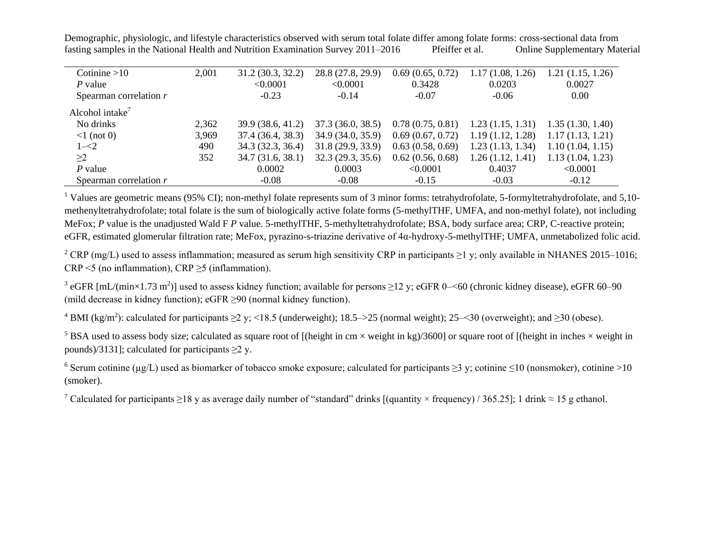| Cotinine $>10$                      | 2,001 | 31.2 (30.3, 32.2) | 28.8 (27.8, 29.9) | 0.69(0.65, 0.72) | 1.17(1.08, 1.26) | 1.21(1.15, 1.26) |
|-------------------------------------|-------|-------------------|-------------------|------------------|------------------|------------------|
| P value                             |       | < 0.0001          | < 0.0001          | 0.3428           | 0.0203           | 0.0027           |
| Spearman correlation $r$            |       | $-0.23$           | $-0.14$           | $-0.07$          | $-0.06$          | 0.00             |
| Alcohol intake <sup>7</sup>         |       |                   |                   |                  |                  |                  |
| No drinks                           | 2,362 | 39.9 (38.6, 41.2) | 37.3(36.0, 38.5)  | 0.78(0.75, 0.81) | 1.23(1.15, 1.31) | 1.35(1.30, 1.40) |
| $\langle 1 \text{ (not 0)} \rangle$ | 3,969 | 37.4 (36.4, 38.3) | 34.9 (34.0, 35.9) | 0.69(0.67, 0.72) | 1.19(1.12, 1.28) | 1.17(1.13, 1.21) |
| $1 - 2$                             | 490   | 34.3 (32.3, 36.4) | 31.8(29.9, 33.9)  | 0.63(0.58, 0.69) | 1.23(1.13, 1.34) | 1.10(1.04, 1.15) |
| $\geq$ 2                            | 352   | 34.7(31.6, 38.1)  | 32.3 (29.3, 35.6) | 0.62(0.56, 0.68) | 1.26(1.12, 1.41) | 1.13(1.04, 1.23) |
| $P$ value                           |       | 0.0002            | 0.0003            | < 0.0001         | 0.4037           | < 0.0001         |
| Spearman correlation r              |       | $-0.08$           | $-0.08$           | $-0.15$          | $-0.03$          | $-0.12$          |

<sup>1</sup> Values are geometric means (95% CI); non-methyl folate represents sum of 3 minor forms: tetrahydrofolate, 5-formyltetrahydrofolate, and 5,10methenyltetrahydrofolate; total folate is the sum of biologically active folate forms (5-methylTHF, UMFA, and non-methyl folate), not including MeFox; *P* value is the unadjusted Wald F *P* value. 5-methylTHF, 5-methyltetrahydrofolate; BSA, body surface area; CRP, C-reactive protein; eGFR, estimated glomerular filtration rate; MeFox, pyrazino-s-triazine derivative of 4α-hydroxy-5-methylTHF; UMFA, unmetabolized folic acid.

<sup>2</sup> CRP (mg/L) used to assess inflammation; measured as serum high sensitivity CRP in participants  $\geq$ 1 y; only available in NHANES 2015–1016; CRP <5 (no inflammation), CRP ≥5 (inflammation).

<sup>3</sup> eGFR [mL/(min×1.73 m<sup>2</sup>)] used to assess kidney function; available for persons  $\geq$ 12 y; eGFR 0–<60 (chronic kidney disease), eGFR 60–90 (mild decrease in kidney function); eGFR ≥90 (normal kidney function).

<sup>4</sup> BMI (kg/m<sup>2</sup>): calculated for participants  $\geq$  2 y; <18.5 (underweight); 18.5–>25 (normal weight); 25–<30 (overweight); and  $\geq$ 30 (obese).

<sup>5</sup> BSA used to assess body size; calculated as square root of [(height in cm  $\times$  weight in kg)/3600] or square root of [(height in inches  $\times$  weight in pounds)/3131]; calculated for participants  $\geq 2$  y.

<sup>6</sup> Serum cotinine ( $\mu$ g/L) used as biomarker of tobacco smoke exposure; calculated for participants  $\geq$ 3 y; cotinine  $\leq$ 10 (nonsmoker), cotinine >10 (smoker).

<sup>7</sup> Calculated for participants ≥18 y as average daily number of "standard" drinks [(quantity × frequency) / 365.25]; 1 drink  $\approx$  15 g ethanol.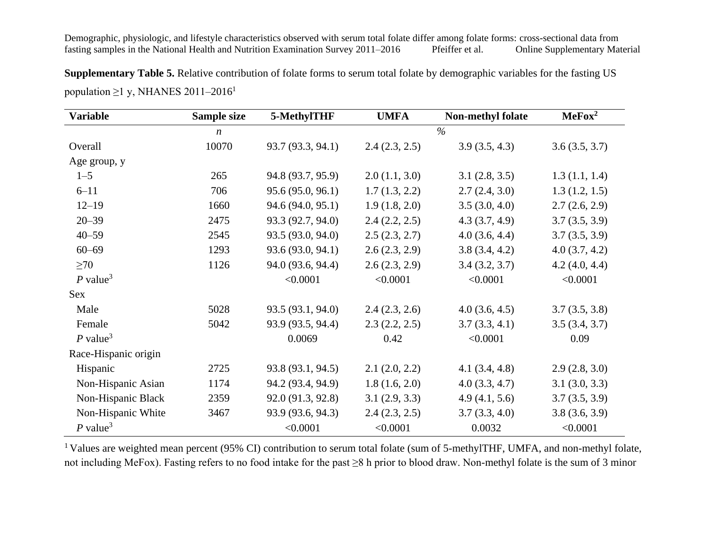**Supplementary Table 5.** Relative contribution of folate forms to serum total folate by demographic variables for the fasting US population  $\geq$ 1 y, NHANES 2011–2016<sup>1</sup>

| <b>Variable</b>        | Sample size      | 5-MethylTHF       | <b>UMFA</b>   | <b>Non-methyl folate</b> | MeFox <sup>2</sup> |
|------------------------|------------------|-------------------|---------------|--------------------------|--------------------|
|                        | $\boldsymbol{n}$ |                   |               | $\%$                     |                    |
| Overall                | 10070            | 93.7 (93.3, 94.1) | 2.4(2.3, 2.5) | 3.9(3.5, 4.3)            | 3.6(3.5, 3.7)      |
| Age group, y           |                  |                   |               |                          |                    |
| $1 - 5$                | 265              | 94.8 (93.7, 95.9) | 2.0(1.1, 3.0) | 3.1(2.8, 3.5)            | 1.3(1.1, 1.4)      |
| $6 - 11$               | 706              | 95.6 (95.0, 96.1) | 1.7(1.3, 2.2) | 2.7(2.4, 3.0)            | 1.3(1.2, 1.5)      |
| $12 - 19$              | 1660             | 94.6 (94.0, 95.1) | 1.9(1.8, 2.0) | 3.5(3.0, 4.0)            | 2.7(2.6, 2.9)      |
| $20 - 39$              | 2475             | 93.3 (92.7, 94.0) | 2.4(2.2, 2.5) | 4.3(3.7, 4.9)            | 3.7(3.5, 3.9)      |
| $40 - 59$              | 2545             | 93.5 (93.0, 94.0) | 2.5(2.3, 2.7) | 4.0(3.6, 4.4)            | 3.7(3.5, 3.9)      |
| $60 - 69$              | 1293             | 93.6 (93.0, 94.1) | 2.6(2.3, 2.9) | 3.8(3.4, 4.2)            | 4.0(3.7, 4.2)      |
| $\geq 70$              | 1126             | 94.0 (93.6, 94.4) | 2.6(2.3, 2.9) | 3.4(3.2, 3.7)            | 4.2(4.0, 4.4)      |
| $P$ value <sup>3</sup> |                  | < 0.0001          | < 0.0001      | < 0.0001                 | < 0.0001           |
| Sex                    |                  |                   |               |                          |                    |
| Male                   | 5028             | 93.5 (93.1, 94.0) | 2.4(2.3, 2.6) | 4.0(3.6, 4.5)            | 3.7(3.5, 3.8)      |
| Female                 | 5042             | 93.9 (93.5, 94.4) | 2.3(2.2, 2.5) | 3.7(3.3, 4.1)            | 3.5(3.4, 3.7)      |
| $P$ value <sup>3</sup> |                  | 0.0069            | 0.42          | < 0.0001                 | 0.09               |
| Race-Hispanic origin   |                  |                   |               |                          |                    |
| Hispanic               | 2725             | 93.8 (93.1, 94.5) | 2.1(2.0, 2.2) | 4.1(3.4, 4.8)            | 2.9(2.8, 3.0)      |
| Non-Hispanic Asian     | 1174             | 94.2 (93.4, 94.9) | 1.8(1.6, 2.0) | 4.0(3.3, 4.7)            | 3.1(3.0, 3.3)      |
| Non-Hispanic Black     | 2359             | 92.0 (91.3, 92.8) | 3.1(2.9, 3.3) | 4.9(4.1, 5.6)            | 3.7(3.5, 3.9)      |
| Non-Hispanic White     | 3467             | 93.9 (93.6, 94.3) | 2.4(2.3, 2.5) | 3.7(3.3, 4.0)            | 3.8(3.6, 3.9)      |
| $P$ value <sup>3</sup> |                  | < 0.0001          | < 0.0001      | 0.0032                   | < 0.0001           |

<sup>1</sup> Values are weighted mean percent (95% CI) contribution to serum total folate (sum of 5-methylTHF, UMFA, and non-methyl folate, not including MeFox). Fasting refers to no food intake for the past ≥8 h prior to blood draw. Non-methyl folate is the sum of 3 minor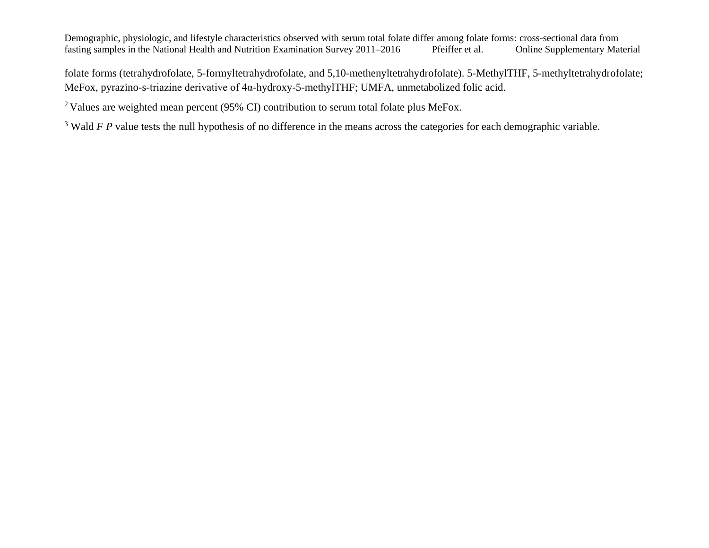folate forms (tetrahydrofolate, 5-formyltetrahydrofolate, and 5,10-methenyltetrahydrofolate). 5-MethylTHF, 5-methyltetrahydrofolate; MeFox, pyrazino-s-triazine derivative of 4α-hydroxy-5-methylTHF; UMFA, unmetabolized folic acid.

<sup>2</sup> Values are weighted mean percent (95% CI) contribution to serum total folate plus MeFox.

<sup>3</sup> Wald *F P* value tests the null hypothesis of no difference in the means across the categories for each demographic variable.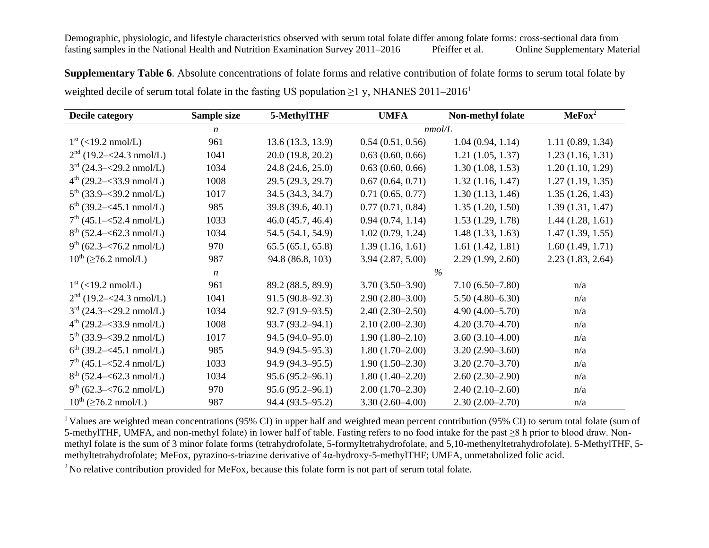**Supplementary Table 6**. Absolute concentrations of folate forms and relative contribution of folate forms to serum total folate by weighted decile of serum total folate in the fasting US population  $\geq$ 1 y, NHANES 2011–2016<sup>1</sup>

| Decile category                     | Sample size      | 5-MethylTHF         | <b>UMFA</b>       | Non-methyl folate   | $\textbf{MeFox}^2$ |
|-------------------------------------|------------------|---------------------|-------------------|---------------------|--------------------|
|                                     | $\boldsymbol{n}$ |                     |                   | nmol/L              |                    |
| $1^{\rm st}$ (<19.2 nmol/L)         | 961              | 13.6(13.3, 13.9)    | 0.54(0.51, 0.56)  | 1.04(0.94, 1.14)    | 1.11(0.89, 1.34)   |
| $2nd$ (19.2–<24.3 nmol/L)           | 1041             | 20.0(19.8, 20.2)    | 0.63(0.60, 0.66)  | 1.21(1.05, 1.37)    | 1.23(1.16, 1.31)   |
| $3^{rd}$ (24.3–<29.2 nmol/L)        | 1034             | 24.8(24.6, 25.0)    | 0.63(0.60, 0.66)  | 1.30(1.08, 1.53)    | 1.20(1.10, 1.29)   |
| $4^{th}$ (29.2– $\leq$ 33.9 nmol/L) | 1008             | 29.5 (29.3, 29.7)   | 0.67(0.64, 0.71)  | 1.32(1.16, 1.47)    | 1.27(1.19, 1.35)   |
| $5^{th}$ (33.9–<39.2 nmol/L)        | 1017             | 34.5 (34.3, 34.7)   | 0.71(0.65, 0.77)  | 1.30(1.13, 1.46)    | 1.35(1.26, 1.43)   |
| $6^{th}$ (39.2–<45.1 nmol/L)        | 985              | 39.8 (39.6, 40.1)   | 0.77(0.71, 0.84)  | 1.35(1.20, 1.50)    | 1.39(1.31, 1.47)   |
| $7th$ (45.1– $<$ 52.4 nmol/L)       | 1033             | 46.0(45.7, 46.4)    | 0.94(0.74, 1.14)  | 1.53(1.29, 1.78)    | 1.44(1.28, 1.61)   |
| $8^{th}$ (52.4– $<$ 62.3 nmol/L)    | 1034             | 54.5 (54.1, 54.9)   | 1.02(0.79, 1.24)  | 1.48(1.33, 1.63)    | 1.47(1.39, 1.55)   |
| $9^{th}$ (62.3– $\leq$ 76.2 nmol/L) | 970              | 65.5(65.1, 65.8)    | 1.39(1.16, 1.61)  | 1.61(1.42, 1.81)    | 1.60(1.49, 1.71)   |
| $10^{th}$ ( $\geq 76.2$ nmol/L)     | 987              | 94.8 (86.8, 103)    | 3.94(2.87, 5.00)  | 2.29(1.99, 2.60)    | 2.23(1.83, 2.64)   |
|                                     | $\boldsymbol{n}$ |                     |                   | $\%$                |                    |
| $1^{\rm st}$ (<19.2 nmol/L)         | 961              | 89.2 (88.5, 89.9)   | $3.70(3.50-3.90)$ | $7.10(6.50-7.80)$   | n/a                |
| $2nd$ (19.2–<24.3 nmol/L)           | 1041             | $91.5(90.8-92.3)$   | $2.90(2.80-3.00)$ | $5.50(4.80 - 6.30)$ | n/a                |
| $3rd$ (24.3–<29.2 nmol/L)           | 1034             | $92.7(91.9-93.5)$   | $2.40(2.30-2.50)$ | $4.90(4.00-5.70)$   | n/a                |
| $4^{th}$ (29.2–<33.9 nmol/L)        | 1008             | $93.7(93.2 - 94.1)$ | $2.10(2.00-2.30)$ | $4.20(3.70-4.70)$   | n/a                |
| $5^{th}$ (33.9–<39.2 nmol/L)        | 1017             | 94.5 (94.0–95.0)    | $1.90(1.80-2.10)$ | $3.60(3.10-4.00)$   | n/a                |
| $6^{th}$ (39.2–<45.1 nmol/L)        | 985              | 94.9 (94.5–95.3)    | $1.80(1.70-2.00)$ | $3.20(2.90-3.60)$   | n/a                |
| $7th$ (45.1– $<$ 52.4 nmol/L)       | 1033             | $94.9(94.3-95.5)$   | $1.90(1.50-2.30)$ | $3.20(2.70-3.70)$   | n/a                |
| $8^{th}$ (52.4– $\leq$ 62.3 nmol/L) | 1034             | $95.6(95.2 - 96.1)$ | $1.80(1.40-2.20)$ | $2.60(2.30-2.90)$   | n/a                |
| $9^{th}$ (62.3– $\leq$ 76.2 nmol/L) | 970              | $95.6(95.2 - 96.1)$ | $2.00(1.70-2.30)$ | $2.40(2.10-2.60)$   | n/a                |
| $10^{th}$ ( $\geq 76.2$ nmol/L)     | 987              | 94.4 (93.5–95.2)    | $3.30(2.60-4.00)$ | $2.30(2.00-2.70)$   | n/a                |

<sup>1</sup>Values are weighted mean concentrations (95% CI) in upper half and weighted mean percent contribution (95% CI) to serum total folate (sum of 5-methylTHF, UMFA, and non-methyl folate) in lower half of table. Fasting refers to no food intake for the past ≥8 h prior to blood draw. Nonmethyl folate is the sum of 3 minor folate forms (tetrahydrofolate, 5-formyltetrahydrofolate, and 5,10-methenyltetrahydrofolate). 5-MethylTHF, 5 methyltetrahydrofolate; MeFox, pyrazino-s-triazine derivative of 4α-hydroxy-5-methylTHF; UMFA, unmetabolized folic acid.

<sup>2</sup> No relative contribution provided for MeFox, because this folate form is not part of serum total folate.